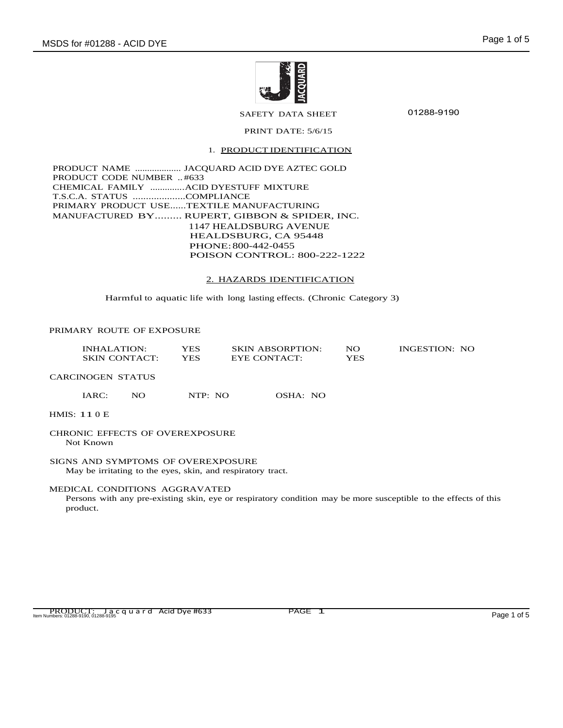

SAFETY DATA SHEET

01288-9190

# PRINT DATE: 5/6/15

#### 1. PRODUCT IDENTIFICATION

PRODUCT NAME ................... JACQUARD ACID DYE AZTEC GOLD PRODUCT CODE NUMBER .. #633 CHEMICAL FAMILY ..............ACID DYESTUFF MIXTURE T.S.C.A. STATUS ....................COMPLIANCE PRIMARY PRODUCT USE......TEXTILE MANUFACTURING MANUFACTURED BY......... RUPERT, GIBBON & SPIDER, INC. 1147 HEALDSBURG AVENUE HEALDSBURG, CA 95448 PHONE:800-442-0455 POISON CONTROL: 800-222-1222

#### 2. HAZARDS IDENTIFICATION

Harmful to aquatic life with long lasting effects. (Chronic Category 3)

#### PRIMARY ROUTE OF EXPOSURE

| INHALATION:          | YES  | <b>SKIN ABSORPTION:</b> | NO  | INGESTION: NO |
|----------------------|------|-------------------------|-----|---------------|
| <b>SKIN CONTACT:</b> | YES. | EYE CONTACT:            | YES |               |

CARCINOGEN STATUS

IARC: NO NTP: NO OSHA: NO

HMIS: 11 0 E

#### CHRONIC EFFECTS OF OVEREXPOSURE Not Known

SIGNS AND SYMPTOMS OF OVEREXPOSURE May be irritating to the eyes, skin, and respiratory tract.

#### MEDICAL CONDITIONS AGGRAVATED

Persons with any pre-existing skin, eye or respiratory condition may be more susceptible to the effects of this product.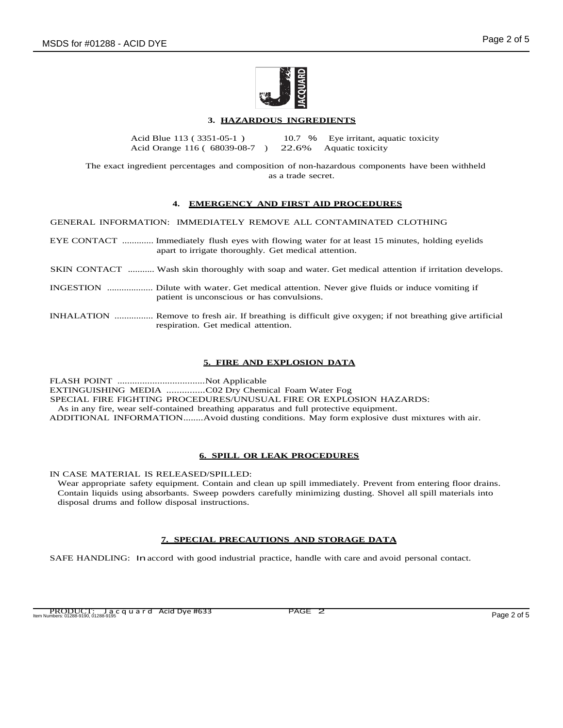

## **3. HAZARDOUS INGREDIENTS**

Acid Blue 113 ( 3351-05-1 ) Acid Orange 116 ( 68039-08-7 ) 10.7 % 22.6% Eye irritant, aquatic toxicity Aquatic toxicity

The exact ingredient percentages and composition of non-hazardous components have been withheld as a trade secret.

### **4. EMERGENCY AND FIRST AID PROCEDURES**

GENERAL INFORMATION: IMMEDIATELY REMOVE ALL CONTAMINATED CLOTHING

- EYE CONTACT ............. Immediately flush eyes with flowing water for at least 15 minutes, holding eyelids apart to irrigate thoroughly. Get medical attention.
- SKIN CONTACT ........... Wash skin thoroughly with soap and water. Get medical attention if irritation develops.
- INGESTION ................... Dilute with water. Get medical attention. Never give fluids or induce vomiting if patient is unconscious or has convulsions.
- INHALATION ................ Remove to fresh air. If breathing is difficult give oxygen; if not breathing give artificial respiration. Get medical attention.

## **5. FIRE AND EXPLOSION DATA**

FLASH POINT ...................................Not Applicable EXTINGUISHING MEDIA ...............C02 Dry Chemical Foam Water Fog SPECIAL FIRE FIGHTING PROCEDURES/UNUSUAL FIRE OR EXPLOSION HAZARDS: As in any fire, wear self-contained breathing apparatus and full protective equipment. ADDITIONAL INFORMATION........Avoid dusting conditions. May form explosive dust mixtures with air.

### **6. SPILL OR LEAK PROCEDURES**

IN CASE MATERIAL IS RELEASED/SPILLED:

Wear appropriate safety equipment. Contain and clean up spill immediately. Prevent from entering floor drains. Contain liquids using absorbants. Sweep powders carefully minimizing dusting. Shovel all spill materials into disposal drums and follow disposal instructions.

### **7. SPECIAL PRECAUTIONS AND STORAGE DATA**

SAFE HANDLING: In accord with good industrial practice, handle with care and avoid personal contact.

PRODUCT: Jacquard Acid Dye #633 PAGE 2 Item Numbers: 01288-9190, 01288-9195 Page 2 of 5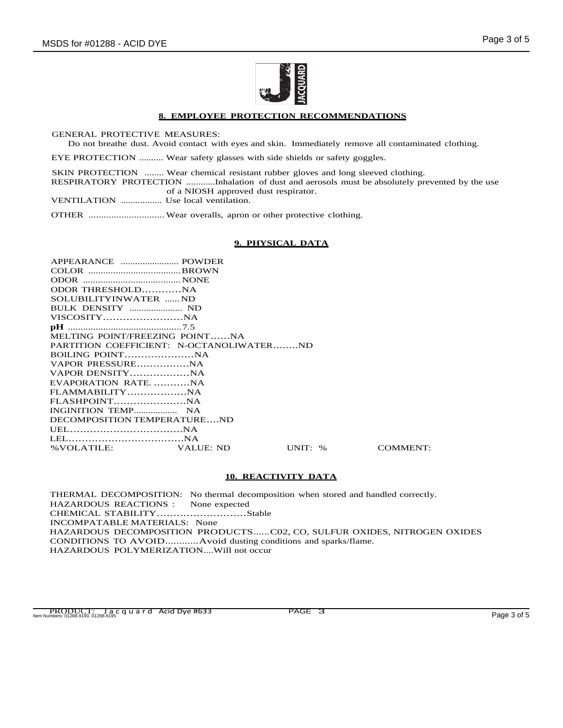

### **8. EMPLOYEE PROTECTION RECOMMENDATIONS**

GENERAL PROTECTIVE MEASURES:

Do not breathe dust. Avoid contact with eyes and skin. Immediately remove all contaminated clothing.

EYE PROTECTION .......... Wear safety glasses with side shields or safety goggles.

SKIN PROTECTION ........ Wear chemical resistant rubber gloves and long sleeved clothing. RESPIRATORY PROTECTION ............Inhalation of dust and aerosols must be absolutely prevented by the use of a NIOSH approved dust respirator.

VENTILATION ................. Use local ventilation.

OTHER .............................. Wear overalls, apron or other protective clothing.

### **9. PHYSICAL DATA**

| ODOR THRESHOLDNA                         |       |
|------------------------------------------|-------|
| SOLUBILITYINWATER  ND                    |       |
|                                          |       |
|                                          |       |
|                                          |       |
| MELTING POINT/FREEZING POINTNA           |       |
| PARTITION COEFFICIENT: N-OCTANOLIWATERND |       |
|                                          |       |
|                                          |       |
|                                          |       |
| EVAPORATION RATENA                       |       |
|                                          |       |
|                                          |       |
|                                          |       |
| DECOMPOSITION TEMPERATUREND              |       |
|                                          |       |
|                                          |       |
| % VOLATILE: VALUE: ND                    | UNIT: |

% COMMENT:

### **10. REACTIVITY DATA**

THERMAL DECOMPOSITION: No thermal decomposition when stored and handled correctly. HAZARDOUS REACTIONS : None expected CHEMICAL STABILITY...........................Stable INCOMPATABLE MATERIALS: None HAZARDOUS DECOMPOSITION PRODUCTS......C02, CO, SULFUR OXIDES, NITROGEN OXIDES CONDITIONS TO AVOID............Avoid dusting conditions and sparks/flame. HAZARDOUS POLYMERIZATION....Will not occur

PRODUCT: Jacquard Acid Dye #633 PAGE 3<br>Item Numbers: 01288-9190, 01288-9195 Page 3 of 5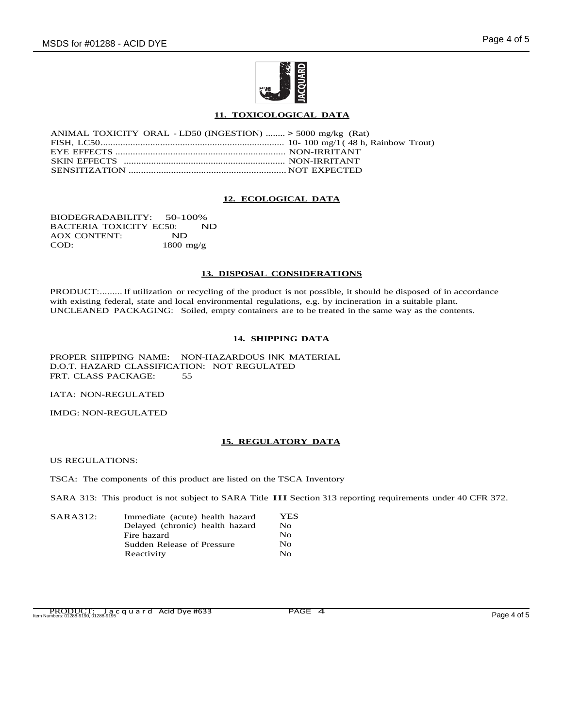

## **11. TOXICOLOGICAL DATA**

| ANIMAL TOXICITY ORAL - LD50 (INGESTION)  > 5000 mg/kg (Rat) |  |
|-------------------------------------------------------------|--|
|                                                             |  |
|                                                             |  |
|                                                             |  |
|                                                             |  |

### **12. ECOLOGICAL DATA**

BIODEGRADABILITY: 50-100%<br>BACTERIA TOXICITY EC50: ND BACTERIA TOXICITY EC50:<br>AOX CONTENT: ND AOX CONTENT:<br>COD: 1800 mg/g

#### **13. DISPOSAL CONSIDERATIONS**

PRODUCT:.........If utilization or recycling of the product is not possible, it should be disposed of in accordance with existing federal, state and local environmental regulations, e.g. by incineration in a suitable plant. UNCLEANED PACKAGING: Soiled, empty containers are to be treated in the same way as the contents.

### **14. SHIPPING DATA**

PROPER SHIPPING NAME: NON-HAZARDOUS INK MATERIAL D.O.T. HAZARD CLASSIFICATION: NOT REGULATED FRT. CLASS PACKAGE: 55

IATA: NON-REGULATED

IMDG: NON-REGULATED

### **15. REGULATORY DATA**

US REGULATIONS:

TSCA: The components of this product are listed on the TSCA Inventory

SARA 313: This product is not subject to SARA Title III Section <sup>313</sup> reporting requirements under <sup>40</sup> CFR 372.

| SARA312: | Immediate (acute) health hazard | <b>YES</b>   |
|----------|---------------------------------|--------------|
|          | Delayed (chronic) health hazard | No.          |
|          | Fire hazard                     | $N_{\Omega}$ |
|          | Sudden Release of Pressure      | No           |
|          | Reactivity                      | $N_{\Omega}$ |

PRODUCT: Jacquard Acid Dye #633 PAGE 4<br>Item Numbers: 01288-9190, 01288-9195 Page 4 of 5